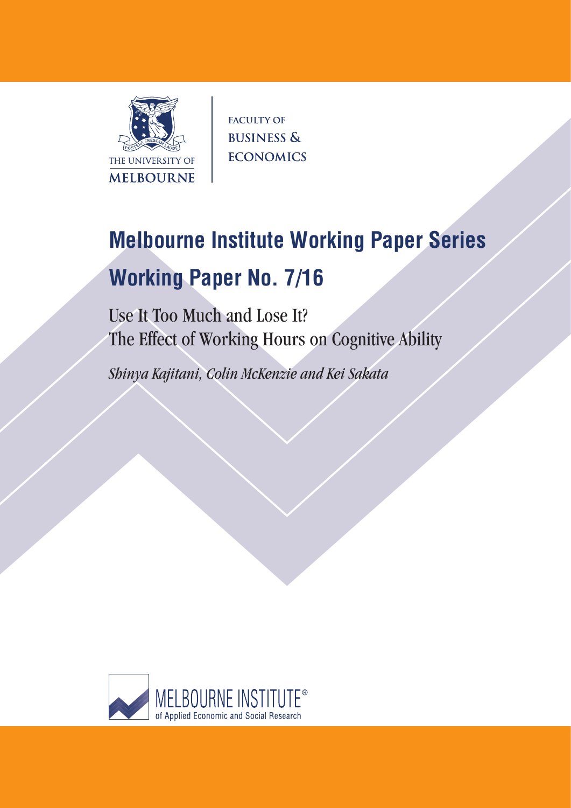

**FACULTY OF BUSINESS & ECONOMICS** 

# **Melbourne Institute Working Paper Series Working Paper No. 7/16**

Use It Too Much and Lose It? The Effect of Working Hours on Cognitive Ability

*Shinya Kajitani, Colin McKenzie and Kei Sakata*

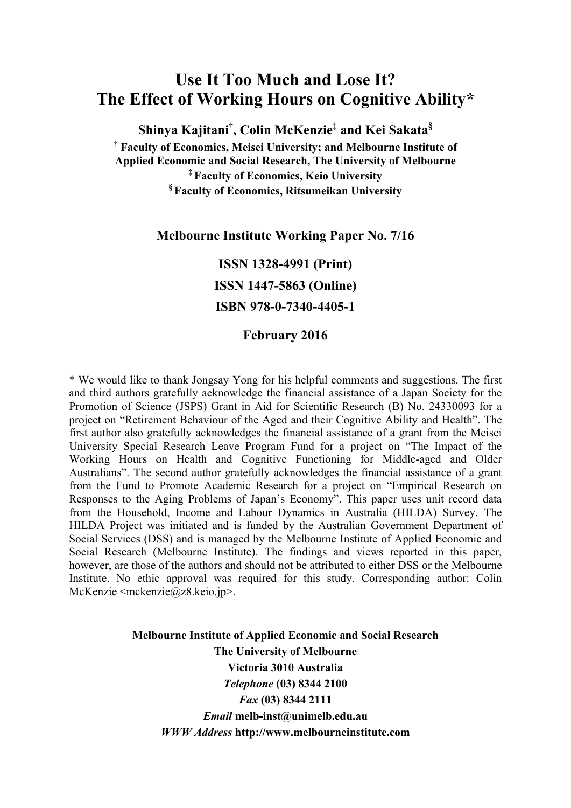# **Use It Too Much and Lose It? The Effect of Working Hours on Cognitive Ability\***

**Shinya Kajitani† , Colin McKenzie‡ and Kei Sakata§ † Faculty of Economics, Meisei University; and Melbourne Institute of Applied Economic and Social Research, The University of Melbourne ‡ Faculty of Economics, Keio University § Faculty of Economics, Ritsumeikan University** 

### **Melbourne Institute Working Paper No. 7/16**

**ISSN 1328-4991 (Print) ISSN 1447-5863 (Online) ISBN 978-0-7340-4405-1** 

## **February 2016**

\* We would like to thank Jongsay Yong for his helpful comments and suggestions. The first and third authors gratefully acknowledge the financial assistance of a Japan Society for the Promotion of Science (JSPS) Grant in Aid for Scientific Research (B) No. 24330093 for a project on "Retirement Behaviour of the Aged and their Cognitive Ability and Health". The first author also gratefully acknowledges the financial assistance of a grant from the Meisei University Special Research Leave Program Fund for a project on "The Impact of the Working Hours on Health and Cognitive Functioning for Middle-aged and Older Australians". The second author gratefully acknowledges the financial assistance of a grant from the Fund to Promote Academic Research for a project on "Empirical Research on Responses to the Aging Problems of Japan's Economy". This paper uses unit record data from the Household, Income and Labour Dynamics in Australia (HILDA) Survey. The HILDA Project was initiated and is funded by the Australian Government Department of Social Services (DSS) and is managed by the Melbourne Institute of Applied Economic and Social Research (Melbourne Institute). The findings and views reported in this paper, however, are those of the authors and should not be attributed to either DSS or the Melbourne Institute. No ethic approval was required for this study. Corresponding author: Colin McKenzie  $\langle$ mckenzie $\langle$ @z8.keio.jp>.

> **Melbourne Institute of Applied Economic and Social Research The University of Melbourne Victoria 3010 Australia**  *Telephone* **(03) 8344 2100**  *Fax* **(03) 8344 2111**  *Email* **melb-inst@unimelb.edu.au**  *WWW Address* **http://www.melbourneinstitute.com**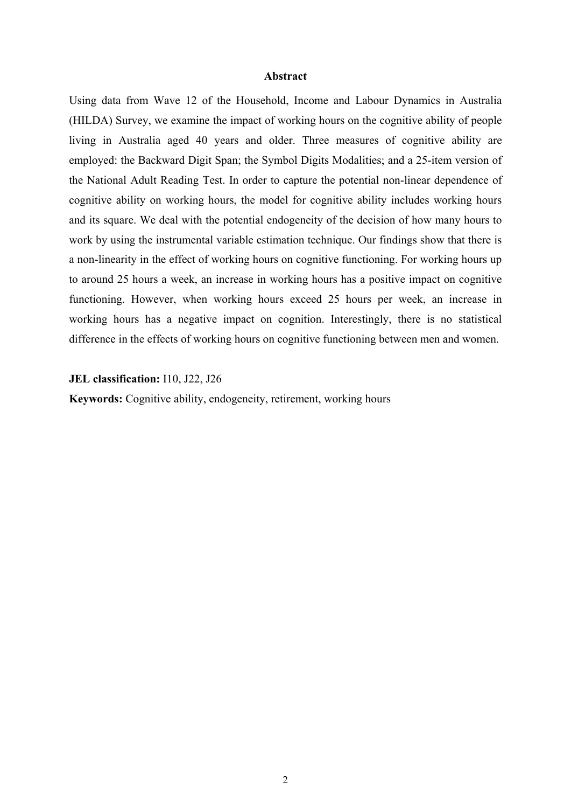#### **Abstract**

Using data from Wave 12 of the Household, Income and Labour Dynamics in Australia (HILDA) Survey, we examine the impact of working hours on the cognitive ability of people living in Australia aged 40 years and older. Three measures of cognitive ability are employed: the Backward Digit Span; the Symbol Digits Modalities; and a 25-item version of the National Adult Reading Test. In order to capture the potential non-linear dependence of cognitive ability on working hours, the model for cognitive ability includes working hours and its square. We deal with the potential endogeneity of the decision of how many hours to work by using the instrumental variable estimation technique. Our findings show that there is a non-linearity in the effect of working hours on cognitive functioning. For working hours up to around 25 hours a week, an increase in working hours has a positive impact on cognitive functioning. However, when working hours exceed 25 hours per week, an increase in working hours has a negative impact on cognition. Interestingly, there is no statistical difference in the effects of working hours on cognitive functioning between men and women.

#### **JEL classification:** I10, J22, J26

**Keywords:** Cognitive ability, endogeneity, retirement, working hours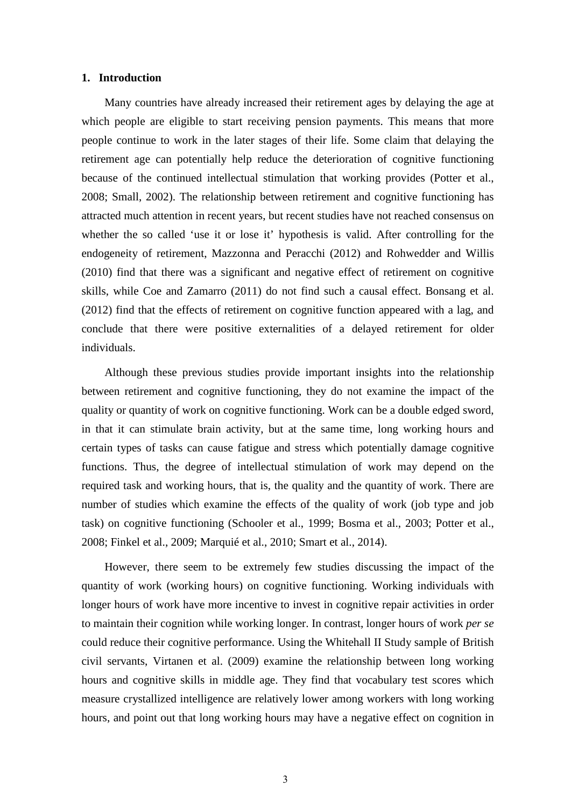#### **1. Introduction**

Many countries have already increased their retirement ages by delaying the age at which people are eligible to start receiving pension payments. This means that more people continue to work in the later stages of their life. Some claim that delaying the retirement age can potentially help reduce the deterioration of cognitive functioning because of the continued intellectual stimulation that working provides (Potter et al., 2008; Small, 2002). The relationship between retirement and cognitive functioning has attracted much attention in recent years, but recent studies have not reached consensus on whether the so called 'use it or lose it' hypothesis is valid. After controlling for the endogeneity of retirement, Mazzonna and Peracchi (2012) and Rohwedder and Willis (2010) find that there was a significant and negative effect of retirement on cognitive skills, while Coe and Zamarro (2011) do not find such a causal effect. Bonsang et al. (2012) find that the effects of retirement on cognitive function appeared with a lag, and conclude that there were positive externalities of a delayed retirement for older individuals.

Although these previous studies provide important insights into the relationship between retirement and cognitive functioning, they do not examine the impact of the quality or quantity of work on cognitive functioning. Work can be a double edged sword, in that it can stimulate brain activity, but at the same time, long working hours and certain types of tasks can cause fatigue and stress which potentially damage cognitive functions. Thus, the degree of intellectual stimulation of work may depend on the required task and working hours, that is, the quality and the quantity of work. There are number of studies which examine the effects of the quality of work (job type and job task) on cognitive functioning (Schooler et al., 1999; Bosma et al., 2003; Potter et al., 2008; Finkel et al., 2009; Marquié et al., 2010; Smart et al., 2014).

However, there seem to be extremely few studies discussing the impact of the quantity of work (working hours) on cognitive functioning. Working individuals with longer hours of work have more incentive to invest in cognitive repair activities in order to maintain their cognition while working longer. In contrast, longer hours of work *per se* could reduce their cognitive performance. Using the Whitehall II Study sample of British civil servants, Virtanen et al. (2009) examine the relationship between long working hours and cognitive skills in middle age. They find that vocabulary test scores which measure crystallized intelligence are relatively lower among workers with long working hours, and point out that long working hours may have a negative effect on cognition in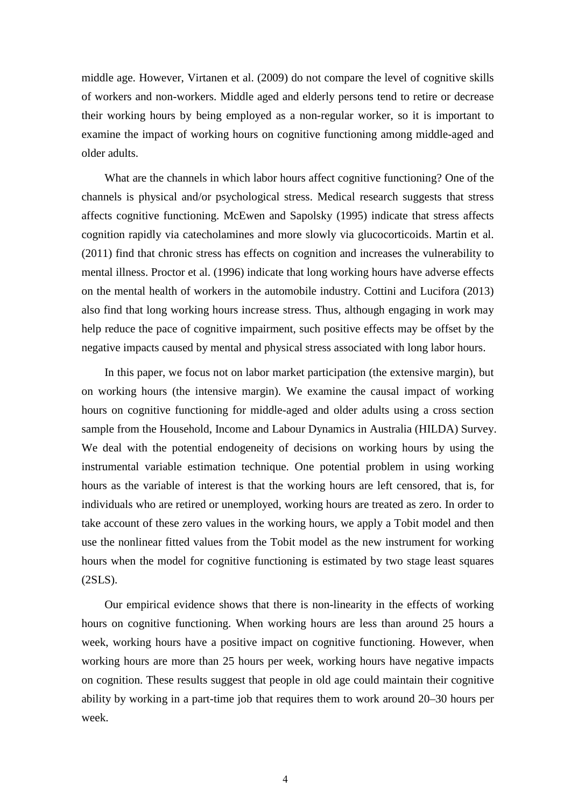middle age. However, Virtanen et al. (2009) do not compare the level of cognitive skills of workers and non-workers. Middle aged and elderly persons tend to retire or decrease their working hours by being employed as a non-regular worker, so it is important to examine the impact of working hours on cognitive functioning among middle-aged and older adults.

What are the channels in which labor hours affect cognitive functioning? One of the channels is physical and/or psychological stress. Medical research suggests that stress affects cognitive functioning. McEwen and Sapolsky (1995) indicate that stress affects cognition rapidly via catecholamines and more slowly via glucocorticoids. Martin et al. (2011) find that chronic stress has effects on cognition and increases the vulnerability to mental illness. Proctor et al. (1996) indicate that long working hours have adverse effects on the mental health of workers in the automobile industry. Cottini and Lucifora (2013) also find that long working hours increase stress. Thus, although engaging in work may help reduce the pace of cognitive impairment, such positive effects may be offset by the negative impacts caused by mental and physical stress associated with long labor hours.

In this paper, we focus not on labor market participation (the extensive margin), but on working hours (the intensive margin). We examine the causal impact of working hours on cognitive functioning for middle-aged and older adults using a cross section sample from the Household, Income and Labour Dynamics in Australia (HILDA) Survey. We deal with the potential endogeneity of decisions on working hours by using the instrumental variable estimation technique. One potential problem in using working hours as the variable of interest is that the working hours are left censored, that is, for individuals who are retired or unemployed, working hours are treated as zero. In order to take account of these zero values in the working hours, we apply a Tobit model and then use the nonlinear fitted values from the Tobit model as the new instrument for working hours when the model for cognitive functioning is estimated by two stage least squares (2SLS).

Our empirical evidence shows that there is non-linearity in the effects of working hours on cognitive functioning. When working hours are less than around 25 hours a week, working hours have a positive impact on cognitive functioning. However, when working hours are more than 25 hours per week, working hours have negative impacts on cognition. These results suggest that people in old age could maintain their cognitive ability by working in a part-time job that requires them to work around 20–30 hours per week.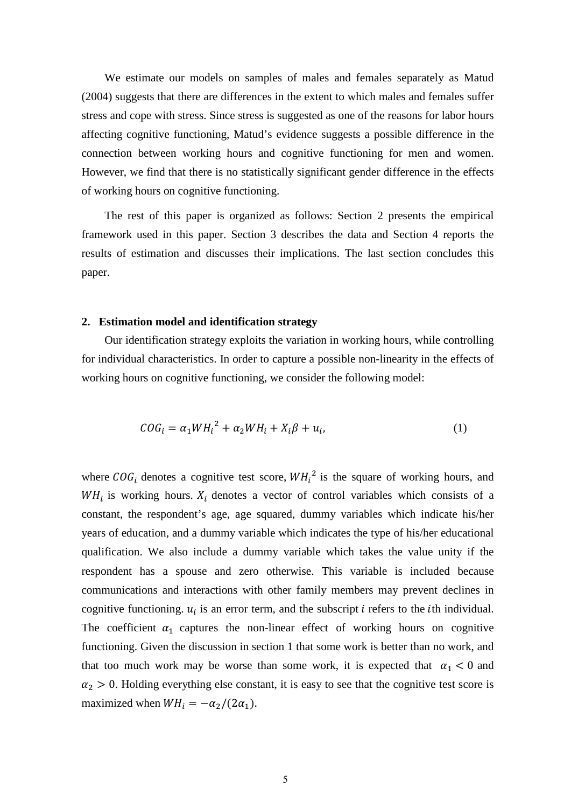We estimate our models on samples of males and females separately as Matud (2004) suggests that there are differences in the extent to which males and females suffer stress and cope with stress. Since stress is suggested as one of the reasons for labor hours affecting cognitive functioning, Matud's evidence suggests a possible difference in the connection between working hours and cognitive functioning for men and women. However, we find that there is no statistically significant gender difference in the effects of working hours on cognitive functioning.

The rest of this paper is organized as follows: Section 2 presents the empirical framework used in this paper. Section 3 describes the data and Section 4 reports the results of estimation and discusses their implications. The last section concludes this paper.

#### **2. Estimation model and identification strategy**

Our identification strategy exploits the variation in working hours, while controlling for individual characteristics. In order to capture a possible non-linearity in the effects of working hours on cognitive functioning, we consider the following model:

$$
COG_i = \alpha_1 W H_i^2 + \alpha_2 W H_i + X_i \beta + u_i,\tag{1}
$$

where  $COG_i$  denotes a cognitive test score,  $WH_i^2$  is the square of working hours, and  $WH<sub>i</sub>$  is working hours.  $X<sub>i</sub>$  denotes a vector of control variables which consists of a constant, the respondent's age, age squared, dummy variables which indicate his/her years of education, and a dummy variable which indicates the type of his/her educational qualification. We also include a dummy variable which takes the value unity if the respondent has a spouse and zero otherwise. This variable is included because communications and interactions with other family members may prevent declines in cognitive functioning.  $u_i$  is an error term, and the subscript  $i$  refers to the *i*th individual. The coefficient  $\alpha_1$  captures the non-linear effect of working hours on cognitive functioning. Given the discussion in section 1 that some work is better than no work, and that too much work may be worse than some work, it is expected that  $\alpha_1 < 0$  and  $\alpha_2 > 0$ . Holding everything else constant, it is easy to see that the cognitive test score is maximized when  $WH_i = -\alpha_2/(2\alpha_1)$ .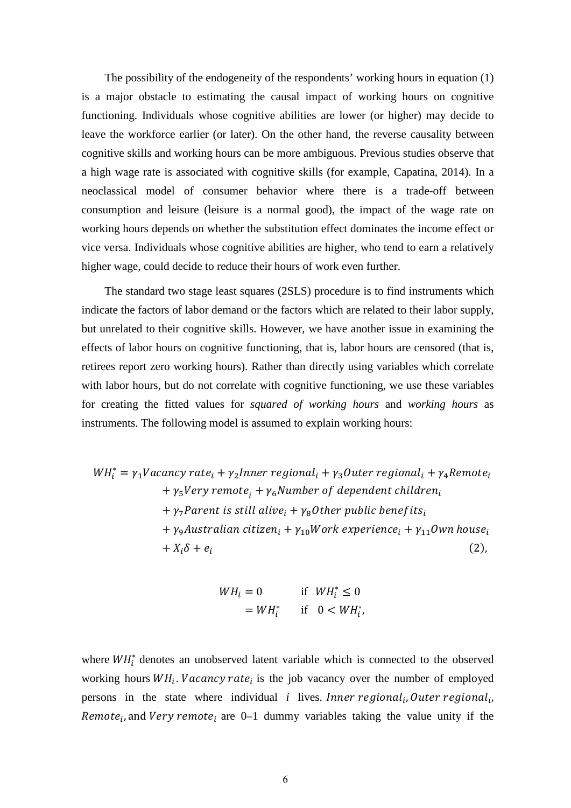The possibility of the endogeneity of the respondents' working hours in equation (1) is a major obstacle to estimating the causal impact of working hours on cognitive functioning. Individuals whose cognitive abilities are lower (or higher) may decide to leave the workforce earlier (or later). On the other hand, the reverse causality between cognitive skills and working hours can be more ambiguous. Previous studies observe that a high wage rate is associated with cognitive skills (for example, Capatina, 2014). In a neoclassical model of consumer behavior where there is a trade-off between consumption and leisure (leisure is a normal good), the impact of the wage rate on working hours depends on whether the substitution effect dominates the income effect or vice versa. Individuals whose cognitive abilities are higher, who tend to earn a relatively higher wage, could decide to reduce their hours of work even further.

The standard two stage least squares (2SLS) procedure is to find instruments which indicate the factors of labor demand or the factors which are related to their labor supply, but unrelated to their cognitive skills. However, we have another issue in examining the effects of labor hours on cognitive functioning, that is, labor hours are censored (that is, retirees report zero working hours). Rather than directly using variables which correlate with labor hours, but do not correlate with cognitive functioning, we use these variables for creating the fitted values for *squared of working hours* and *working hours* as instruments. The following model is assumed to explain working hours:

$$
WH_{i}^{*} = \gamma_{1}Vacancy\ rate_{i} + \gamma_{2}Inner\ regional_{i} + \gamma_{3}Outer\ regional_{i} + \gamma_{4}Remove_{i}
$$
  
+  $\gamma_{5}Very\ remote_{i} + \gamma_{6} Number\ of\ dependent\ children_{i}$   
+  $\gamma_{7} Parent\ is\ still\ alive_{i} + \gamma_{8} Other\ public\ benefits_{i}$   
+  $\gamma_{9} Australian\ citizen_{i} + \gamma_{10} Work\ experience_{i} + \gamma_{11} Own\ house_{i}$   
+  $X_{i}\delta + e_{i}$  (2),

$$
WH_i = 0 \qquad \text{if } WH_i^* \le 0
$$
  
=  $WH_i^*$  if  $0 < WH_i^*$ ,

where  $WH_i^*$  denotes an unobserved latent variable which is connected to the observed working hours  $WH_i$ . Vacancy rate<sub>i</sub> is the job vacancy over the number of employed persons in the state where individual *i* lives. Inner regional<sub>i</sub>, Outer regional<sub>i</sub>, Remote<sub>i</sub>, and Very remote<sub>i</sub> are 0–1 dummy variables taking the value unity if the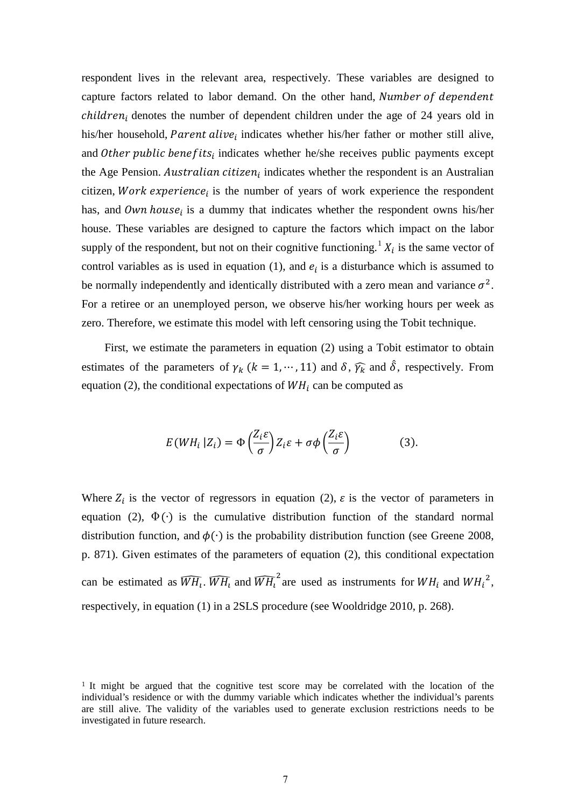respondent lives in the relevant area, respectively. These variables are designed to capture factors related to labor demand. On the other hand, Number of dependent  $children_i$  denotes the number of dependent children under the age of 24 years old in his/her household, Parent alive<sub>i</sub> indicates whether his/her father or mother still alive, and Other public benefits<sub>i</sub> indicates whether he/she receives public payments except the Age Pension. Australian citizen<sub>i</sub> indicates whether the respondent is an Australian citizen, Work experience<sub>i</sub> is the number of years of work experience the respondent has, and Own house<sub>i</sub> is a dummy that indicates whether the respondent owns his/her house. These variables are designed to capture the factors which impact on the labor supply of the respondent, but not on their cognitive functioning.<sup>[1](#page-7-0)</sup>  $X_i$  is the same vector of control variables as is used in equation (1), and  $e_i$  is a disturbance which is assumed to be normally independently and identically distributed with a zero mean and variance  $\sigma^2$ . For a retiree or an unemployed person, we observe his/her working hours per week as zero. Therefore, we estimate this model with left censoring using the Tobit technique.

First, we estimate the parameters in equation (2) using a Tobit estimator to obtain estimates of the parameters of  $\gamma_k$  ( $k = 1, \dots, 11$ ) and  $\delta$ ,  $\widehat{\gamma_k}$  and  $\widehat{\delta}$ , respectively. From equation (2), the conditional expectations of  $WH$ <sub>i</sub> can be computed as

$$
E(WH_i | Z_i) = \Phi\left(\frac{Z_i \varepsilon}{\sigma}\right) Z_i \varepsilon + \sigma \phi\left(\frac{Z_i \varepsilon}{\sigma}\right) \tag{3}
$$

Where  $Z_i$  is the vector of regressors in equation (2),  $\varepsilon$  is the vector of parameters in equation (2),  $\Phi(\cdot)$  is the cumulative distribution function of the standard normal distribution function, and  $\phi(\cdot)$  is the probability distribution function (see Greene 2008, p. 871). Given estimates of the parameters of equation (2), this conditional expectation can be estimated as  $\widehat{WH}_1$ .  $\widehat{WH}_1$  and  $\widehat{WH}_1^2$  are used as instruments for  $WH_i$  and  $WH_i^2$ , respectively, in equation (1) in a 2SLS procedure (see Wooldridge 2010, p. 268).

<span id="page-7-0"></span><sup>1</sup> It might be argued that the cognitive test score may be correlated with the location of the individual's residence or with the dummy variable which indicates whether the individual's parents are still alive. The validity of the variables used to generate exclusion restrictions needs to be investigated in future research.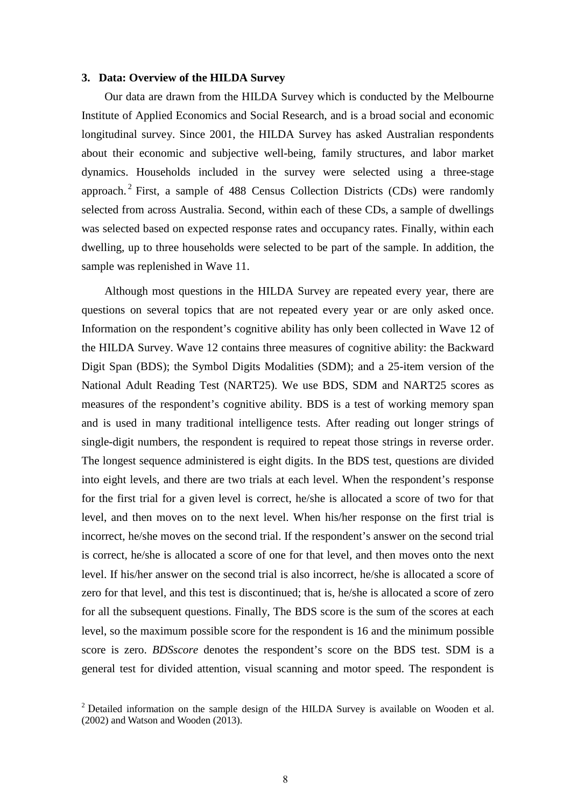#### **3. Data: Overview of the HILDA Survey**

Our data are drawn from the HILDA Survey which is conducted by the Melbourne Institute of Applied Economics and Social Research, and is a broad social and economic longitudinal survey. Since 2001, the HILDA Survey has asked Australian respondents about their economic and subjective well-being, family structures, and labor market dynamics. Households included in the survey were selected using a three-stage approach.<sup>[2](#page-8-0)</sup> First, a sample of 488 Census Collection Districts (CDs) were randomly selected from across Australia. Second, within each of these CDs, a sample of dwellings was selected based on expected response rates and occupancy rates. Finally, within each dwelling, up to three households were selected to be part of the sample. In addition, the sample was replenished in Wave 11.

Although most questions in the HILDA Survey are repeated every year, there are questions on several topics that are not repeated every year or are only asked once. Information on the respondent's cognitive ability has only been collected in Wave 12 of the HILDA Survey. Wave 12 contains three measures of cognitive ability: the Backward Digit Span (BDS); the Symbol Digits Modalities (SDM); and a 25-item version of the National Adult Reading Test (NART25). We use BDS, SDM and NART25 scores as measures of the respondent's cognitive ability. BDS is a test of working memory span and is used in many traditional intelligence tests. After reading out longer strings of single-digit numbers, the respondent is required to repeat those strings in reverse order. The longest sequence administered is eight digits. In the BDS test, questions are divided into eight levels, and there are two trials at each level. When the respondent's response for the first trial for a given level is correct, he/she is allocated a score of two for that level, and then moves on to the next level. When his/her response on the first trial is incorrect, he/she moves on the second trial. If the respondent's answer on the second trial is correct, he/she is allocated a score of one for that level, and then moves onto the next level. If his/her answer on the second trial is also incorrect, he/she is allocated a score of zero for that level, and this test is discontinued; that is, he/she is allocated a score of zero for all the subsequent questions. Finally, The BDS score is the sum of the scores at each level, so the maximum possible score for the respondent is 16 and the minimum possible score is zero. *BDSscore* denotes the respondent's score on the BDS test. SDM is a general test for divided attention, visual scanning and motor speed. The respondent is

<span id="page-8-0"></span> $2$  Detailed information on the sample design of the HILDA Survey is available on Wooden et al. (2002) and Watson and Wooden (2013).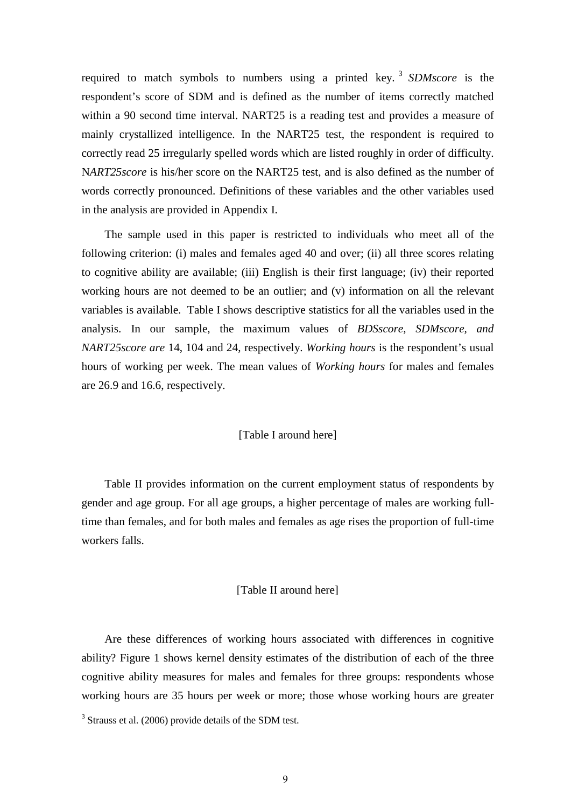required to match symbols to numbers using a printed key. [3](#page-9-0) *SDMscore* is the respondent's score of SDM and is defined as the number of items correctly matched within a 90 second time interval. NART25 is a reading test and provides a measure of mainly crystallized intelligence. In the NART25 test, the respondent is required to correctly read 25 irregularly spelled words which are listed roughly in order of difficulty. N*ART25score* is his/her score on the NART25 test, and is also defined as the number of words correctly pronounced. Definitions of these variables and the other variables used in the analysis are provided in Appendix I.

The sample used in this paper is restricted to individuals who meet all of the following criterion: (i) males and females aged 40 and over; (ii) all three scores relating to cognitive ability are available; (iii) English is their first language; (iv) their reported working hours are not deemed to be an outlier; and (v) information on all the relevant variables is available. Table I shows descriptive statistics for all the variables used in the analysis. In our sample, the maximum values of *BDSscore, SDMscore, and NART25score are* 14, 104 and 24, respectively. *Working hours* is the respondent's usual hours of working per week. The mean values of *Working hours* for males and females are 26.9 and 16.6, respectively.

#### [Table I around here]

Table II provides information on the current employment status of respondents by gender and age group. For all age groups, a higher percentage of males are working fulltime than females, and for both males and females as age rises the proportion of full-time workers falls.

#### [Table II around here]

Are these differences of working hours associated with differences in cognitive ability? Figure 1 shows kernel density estimates of the distribution of each of the three cognitive ability measures for males and females for three groups: respondents whose working hours are 35 hours per week or more; those whose working hours are greater

<span id="page-9-0"></span><sup>&</sup>lt;sup>3</sup> Strauss et al. (2006) provide details of the SDM test.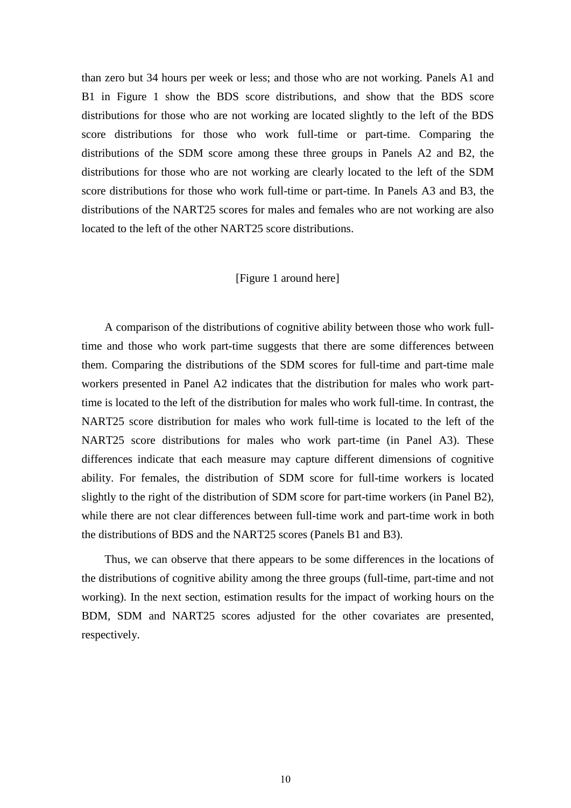than zero but 34 hours per week or less; and those who are not working. Panels A1 and B1 in Figure 1 show the BDS score distributions, and show that the BDS score distributions for those who are not working are located slightly to the left of the BDS score distributions for those who work full-time or part-time. Comparing the distributions of the SDM score among these three groups in Panels A2 and B2, the distributions for those who are not working are clearly located to the left of the SDM score distributions for those who work full-time or part-time. In Panels A3 and B3, the distributions of the NART25 scores for males and females who are not working are also located to the left of the other NART25 score distributions.

#### [Figure 1 around here]

A comparison of the distributions of cognitive ability between those who work fulltime and those who work part-time suggests that there are some differences between them. Comparing the distributions of the SDM scores for full-time and part-time male workers presented in Panel A2 indicates that the distribution for males who work parttime is located to the left of the distribution for males who work full-time. In contrast, the NART25 score distribution for males who work full-time is located to the left of the NART25 score distributions for males who work part-time (in Panel A3). These differences indicate that each measure may capture different dimensions of cognitive ability. For females, the distribution of SDM score for full-time workers is located slightly to the right of the distribution of SDM score for part-time workers (in Panel B2), while there are not clear differences between full-time work and part-time work in both the distributions of BDS and the NART25 scores (Panels B1 and B3).

Thus, we can observe that there appears to be some differences in the locations of the distributions of cognitive ability among the three groups (full-time, part-time and not working). In the next section, estimation results for the impact of working hours on the BDM, SDM and NART25 scores adjusted for the other covariates are presented, respectively.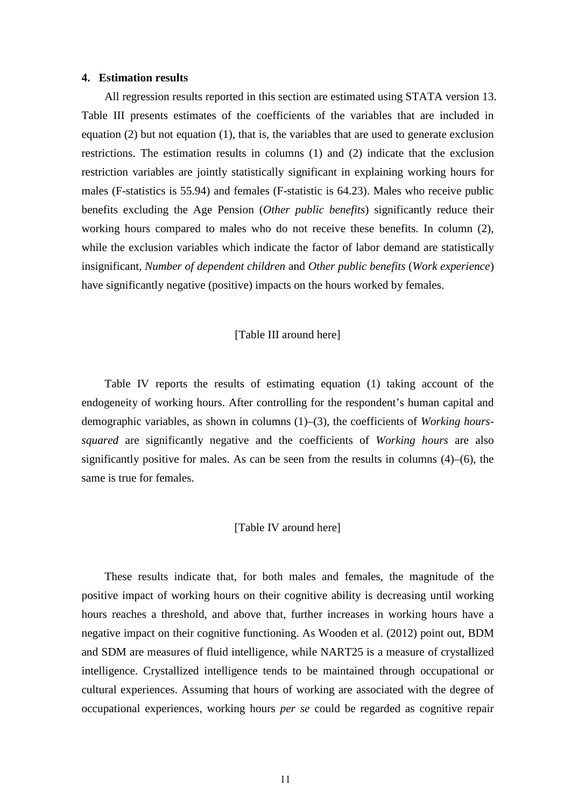#### **4. Estimation results**

All regression results reported in this section are estimated using STATA version 13. Table III presents estimates of the coefficients of the variables that are included in equation (2) but not equation (1), that is, the variables that are used to generate exclusion restrictions. The estimation results in columns (1) and (2) indicate that the exclusion restriction variables are jointly statistically significant in explaining working hours for males (F-statistics is 55.94) and females (F-statistic is 64.23). Males who receive public benefits excluding the Age Pension (*Other public benefits*) significantly reduce their working hours compared to males who do not receive these benefits. In column (2), while the exclusion variables which indicate the factor of labor demand are statistically insignificant, *Number of dependent children* and *Other public benefits* (*Work experience*) have significantly negative (positive) impacts on the hours worked by females.

#### [Table III around here]

Table IV reports the results of estimating equation (1) taking account of the endogeneity of working hours. After controlling for the respondent's human capital and demographic variables, as shown in columns (1)–(3), the coefficients of *Working hourssquared* are significantly negative and the coefficients of *Working hours* are also significantly positive for males. As can be seen from the results in columns (4)–(6), the same is true for females.

#### [Table IV around here]

These results indicate that, for both males and females, the magnitude of the positive impact of working hours on their cognitive ability is decreasing until working hours reaches a threshold, and above that, further increases in working hours have a negative impact on their cognitive functioning. As Wooden et al. (2012) point out, BDM and SDM are measures of fluid intelligence, while NART25 is a measure of crystallized intelligence. Crystallized intelligence tends to be maintained through occupational or cultural experiences. Assuming that hours of working are associated with the degree of occupational experiences, working hours *per se* could be regarded as cognitive repair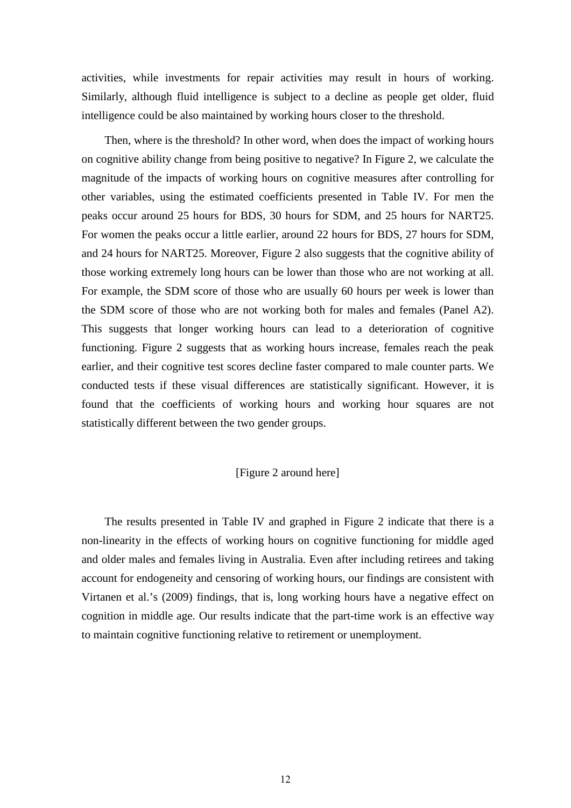activities, while investments for repair activities may result in hours of working. Similarly, although fluid intelligence is subject to a decline as people get older, fluid intelligence could be also maintained by working hours closer to the threshold.

Then, where is the threshold? In other word, when does the impact of working hours on cognitive ability change from being positive to negative? In Figure 2, we calculate the magnitude of the impacts of working hours on cognitive measures after controlling for other variables, using the estimated coefficients presented in Table IV. For men the peaks occur around 25 hours for BDS, 30 hours for SDM, and 25 hours for NART25. For women the peaks occur a little earlier, around 22 hours for BDS, 27 hours for SDM, and 24 hours for NART25. Moreover, Figure 2 also suggests that the cognitive ability of those working extremely long hours can be lower than those who are not working at all. For example, the SDM score of those who are usually 60 hours per week is lower than the SDM score of those who are not working both for males and females (Panel A2). This suggests that longer working hours can lead to a deterioration of cognitive functioning. Figure 2 suggests that as working hours increase, females reach the peak earlier, and their cognitive test scores decline faster compared to male counter parts. We conducted tests if these visual differences are statistically significant. However, it is found that the coefficients of working hours and working hour squares are not statistically different between the two gender groups.

#### [Figure 2 around here]

The results presented in Table IV and graphed in Figure 2 indicate that there is a non-linearity in the effects of working hours on cognitive functioning for middle aged and older males and females living in Australia. Even after including retirees and taking account for endogeneity and censoring of working hours, our findings are consistent with Virtanen et al.'s (2009) findings, that is, long working hours have a negative effect on cognition in middle age. Our results indicate that the part-time work is an effective way to maintain cognitive functioning relative to retirement or unemployment.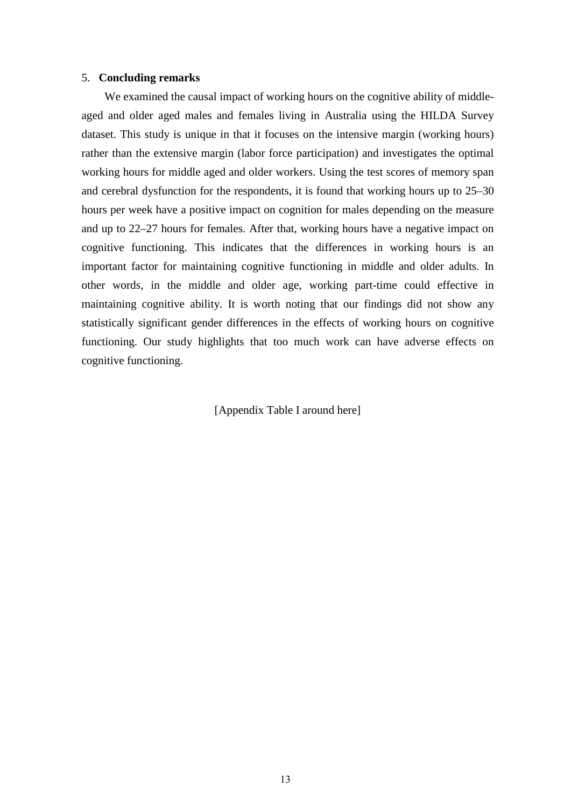#### 5. **Concluding remarks**

We examined the causal impact of working hours on the cognitive ability of middleaged and older aged males and females living in Australia using the HILDA Survey dataset. This study is unique in that it focuses on the intensive margin (working hours) rather than the extensive margin (labor force participation) and investigates the optimal working hours for middle aged and older workers. Using the test scores of memory span and cerebral dysfunction for the respondents, it is found that working hours up to 25–30 hours per week have a positive impact on cognition for males depending on the measure and up to 22–27 hours for females. After that, working hours have a negative impact on cognitive functioning. This indicates that the differences in working hours is an important factor for maintaining cognitive functioning in middle and older adults. In other words, in the middle and older age, working part-time could effective in maintaining cognitive ability. It is worth noting that our findings did not show any statistically significant gender differences in the effects of working hours on cognitive functioning. Our study highlights that too much work can have adverse effects on cognitive functioning.

[Appendix Table I around here]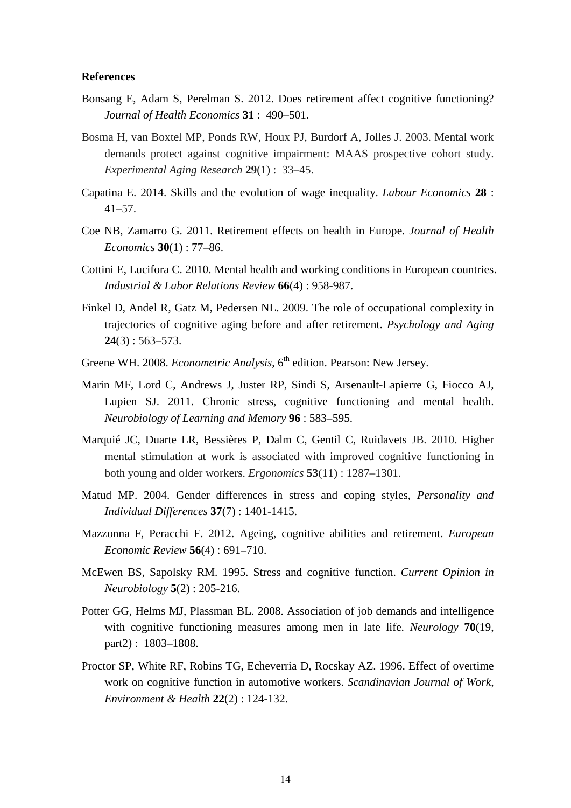#### **References**

- Bonsang E, Adam S, Perelman S. 2012. Does retirement affect cognitive functioning? *Journal of Health Economics* **31** : 490–501.
- Bosma H, van Boxtel MP, Ponds RW, Houx PJ, Burdorf A, Jolles J. 2003. Mental work demands protect against cognitive impairment: MAAS prospective cohort study. *Experimental Aging Research* **29**(1) : 33–45.
- Capatina E. 2014. Skills and the evolution of wage inequality. *Labour Economics* **28** : 41–57.
- Coe NB, Zamarro G. 2011. Retirement effects on health in Europe. *Journal of Health Economics* **30**(1) : 77–86.
- Cottini E, Lucifora C. 2010. Mental health and working conditions in European countries. *Industrial & Labor Relations Review* **66**(4) : 958-987.
- Finkel D, Andel R, Gatz M, Pedersen NL. 2009. The role of occupational complexity in trajectories of cognitive aging before and after retirement. *Psychology and Aging* **24**(3) : 563–573.
- Greene WH. 2008. *Econometric Analysis*, 6<sup>th</sup> edition. Pearson: New Jersey.
- Marin MF, Lord C, Andrews J, Juster RP, Sindi S, Arsenault-Lapierre G, Fiocco AJ, Lupien SJ. 2011. Chronic stress, cognitive functioning and mental health. *Neurobiology of Learning and Memory* **96** : 583–595.
- Marquié JC, Duarte LR, Bessières P, Dalm C, Gentil C, Ruidavets JB. 2010. Higher mental stimulation at work is associated with improved cognitive functioning in both young and older workers. *Ergonomics* **53**(11) : 1287–1301.
- Matud MP. 2004. Gender differences in stress and coping styles, *Personality and Individual Differences* **37**(7) : 1401-1415.
- Mazzonna F, Peracchi F. 2012. Ageing, cognitive abilities and retirement. *European Economic Review* **56**(4) : 691–710.
- McEwen BS, Sapolsky RM. 1995. Stress and cognitive function. *Current Opinion in Neurobiology* **5**(2) : 205-216.
- Potter GG, Helms MJ, Plassman BL. 2008. Association of job demands and intelligence with cognitive functioning measures among men in late life. *Neurology* **70**(19, part2) : 1803–1808.
- Proctor SP, White RF, Robins TG, Echeverria D, Rocskay AZ. 1996. Effect of overtime work on cognitive function in automotive workers. *Scandinavian Journal of Work, Environment & Health* **22**(2) : 124-132.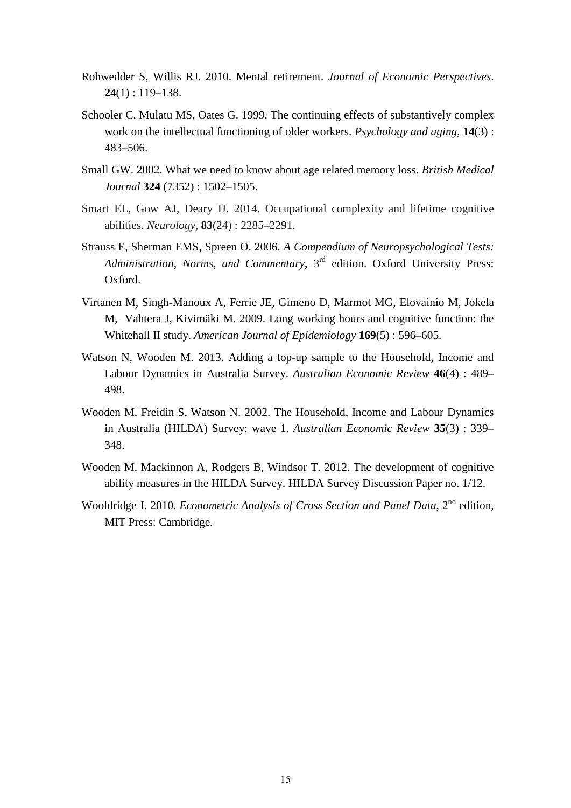- Rohwedder S, Willis RJ. 2010. Mental retirement. *Journal of Economic Perspectives*. **24**(1) : 119–138.
- Schooler C, Mulatu MS, Oates G. 1999. The continuing effects of substantively complex work on the intellectual functioning of older workers. *Psychology and aging*, **14**(3) : 483–506.
- Small GW. 2002. What we need to know about age related memory loss. *British Medical Journal* **324** (7352) : 1502–1505.
- Smart EL, Gow AJ, Deary IJ. 2014. Occupational complexity and lifetime cognitive abilities. *Neurology*, **83**(24) : 2285–2291.
- Strauss E, Sherman EMS, Spreen O. 2006. *A Compendium of Neuropsychological Tests: Administration, Norms, and Commentary*, 3rd edition. Oxford University Press: Oxford.
- Virtanen M, Singh-Manoux A, Ferrie JE, Gimeno D, Marmot MG, Elovainio M, Jokela M, Vahtera J, Kivimäki M. 2009. Long working hours and cognitive function: the Whitehall II study. *American Journal of Epidemiology* **169**(5) : 596–605.
- Watson N, Wooden M. 2013. Adding a top-up sample to the Household, Income and Labour Dynamics in Australia Survey. *Australian Economic Review* **46**(4) : 489– 498.
- Wooden M, Freidin S, Watson N. 2002. The Household, Income and Labour Dynamics in Australia (HILDA) Survey: wave 1. *Australian Economic Review* **35**(3) : 339– 348.
- Wooden M, Mackinnon A, Rodgers B, Windsor T. 2012. The development of cognitive ability measures in the HILDA Survey. HILDA Survey Discussion Paper no. 1/12.
- Wooldridge J. 2010. *Econometric Analysis of Cross Section and Panel Data*, 2<sup>nd</sup> edition. MIT Press: Cambridge.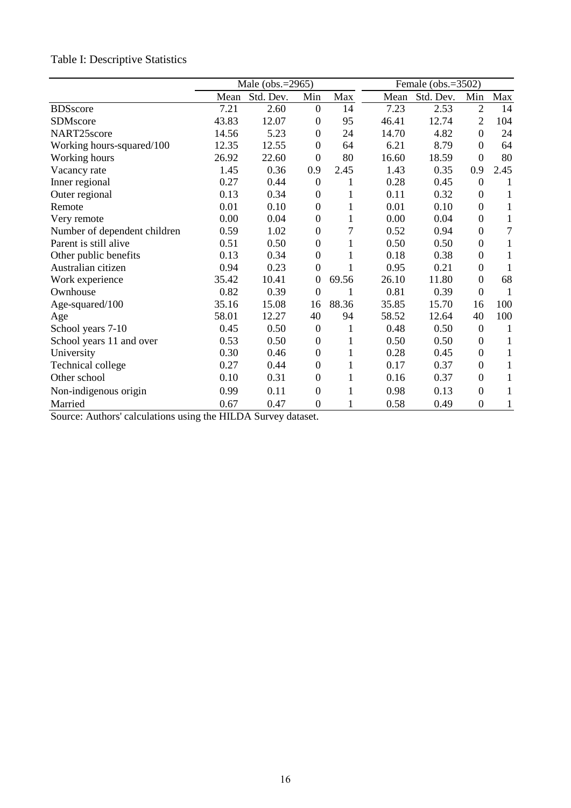# Table I: Descriptive Statistics

|                              | Male (obs.=2965) |           |                  | Female (obs.=3502) |       |           |                  |                |
|------------------------------|------------------|-----------|------------------|--------------------|-------|-----------|------------------|----------------|
|                              | Mean             | Std. Dev. | Min              | Max                | Mean  | Std. Dev. | Min              | Max            |
| <b>BDSscore</b>              | 7.21             | 2.60      | $\boldsymbol{0}$ | 14                 | 7.23  | 2.53      | $\overline{2}$   | 14             |
| SDMscore                     | 43.83            | 12.07     | $\overline{0}$   | 95                 | 46.41 | 12.74     | $\overline{2}$   | 104            |
| NART25score                  | 14.56            | 5.23      | $\overline{0}$   | 24                 | 14.70 | 4.82      | $\theta$         | 24             |
| Working hours-squared/100    | 12.35            | 12.55     | $\overline{0}$   | 64                 | 6.21  | 8.79      | $\theta$         | 64             |
| Working hours                | 26.92            | 22.60     | $\mathbf{0}$     | 80                 | 16.60 | 18.59     | $\theta$         | 80             |
| Vacancy rate                 | 1.45             | 0.36      | 0.9              | 2.45               | 1.43  | 0.35      | 0.9              | 2.45           |
| Inner regional               | 0.27             | 0.44      | $\boldsymbol{0}$ | 1                  | 0.28  | 0.45      | $\overline{0}$   | 1              |
| Outer regional               | 0.13             | 0.34      | $\boldsymbol{0}$ | 1                  | 0.11  | 0.32      | $\theta$         | 1              |
| Remote                       | 0.01             | 0.10      | $\boldsymbol{0}$ | 1                  | 0.01  | 0.10      | $\theta$         | 1              |
| Very remote                  | 0.00             | 0.04      | $\overline{0}$   | 1                  | 0.00  | 0.04      | $\mathbf{0}$     | 1              |
| Number of dependent children | 0.59             | 1.02      | $\boldsymbol{0}$ | 7                  | 0.52  | 0.94      | $\theta$         | $\overline{7}$ |
| Parent is still alive        | 0.51             | 0.50      | $\overline{0}$   | 1                  | 0.50  | 0.50      | $\theta$         | 1              |
| Other public benefits        | 0.13             | 0.34      | $\mathbf{0}$     | 1                  | 0.18  | 0.38      | $\mathbf{0}$     | 1              |
| Australian citizen           | 0.94             | 0.23      | $\overline{0}$   |                    | 0.95  | 0.21      | $\boldsymbol{0}$ | 1              |
| Work experience              | 35.42            | 10.41     | $\boldsymbol{0}$ | 69.56              | 26.10 | 11.80     | $\theta$         | 68             |
| Ownhouse                     | 0.82             | 0.39      | $\boldsymbol{0}$ |                    | 0.81  | 0.39      | $\overline{0}$   | 1              |
| Age-squared/100              | 35.16            | 15.08     | 16               | 88.36              | 35.85 | 15.70     | 16               | 100            |
| Age                          | 58.01            | 12.27     | 40               | 94                 | 58.52 | 12.64     | 40               | 100            |
| School years 7-10            | 0.45             | 0.50      | $\boldsymbol{0}$ | 1                  | 0.48  | 0.50      | $\theta$         | 1              |
| School years 11 and over     | 0.53             | 0.50      | $\boldsymbol{0}$ | 1                  | 0.50  | 0.50      | $\theta$         | 1              |
| University                   | 0.30             | 0.46      | $\boldsymbol{0}$ | 1                  | 0.28  | 0.45      | $\mathbf{0}$     | 1              |
| Technical college            | 0.27             | 0.44      | $\boldsymbol{0}$ | 1                  | 0.17  | 0.37      | $\mathbf{0}$     | 1              |
| Other school                 | 0.10             | 0.31      | $\boldsymbol{0}$ | 1                  | 0.16  | 0.37      | $\theta$         | 1              |
| Non-indigenous origin        | 0.99             | 0.11      | $\boldsymbol{0}$ | 1                  | 0.98  | 0.13      | $\theta$         | 1              |
| Married                      | 0.67             | 0.47      | $\boldsymbol{0}$ | 1                  | 0.58  | 0.49      | $\boldsymbol{0}$ | 1              |

Source: Authors' calculations using the HILDA Survey dataset.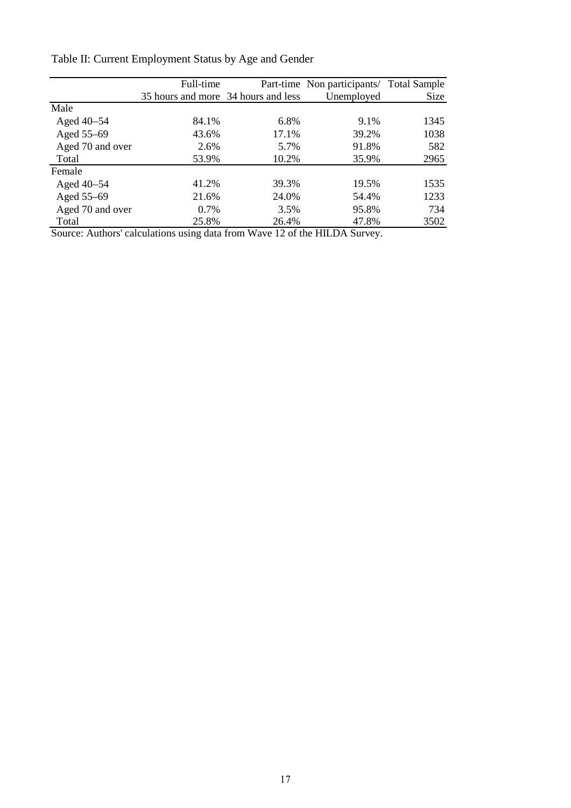|                  | Full-time                           |       | Part-time Non participants/ Total Sample |      |  |
|------------------|-------------------------------------|-------|------------------------------------------|------|--|
|                  | 35 hours and more 34 hours and less |       | Unemployed                               | Size |  |
| Male             |                                     |       |                                          |      |  |
| Aged 40–54       | 84.1%                               | 6.8%  | 9.1%                                     | 1345 |  |
| Aged 55-69       | 43.6%                               | 17.1% | 39.2%                                    | 1038 |  |
| Aged 70 and over | 2.6%                                | 5.7%  | 91.8%                                    | 582  |  |
| Total            | 53.9%                               | 10.2% | 35.9%                                    | 2965 |  |
| Female           |                                     |       |                                          |      |  |
| Aged $40-54$     | 41.2%                               | 39.3% | 19.5%                                    | 1535 |  |
| Aged 55-69       | 21.6%                               | 24.0% | 54.4%                                    | 1233 |  |
| Aged 70 and over | 0.7%                                | 3.5%  | 95.8%                                    | 734  |  |
| Total            | 25.8%                               | 26.4% | 47.8%                                    | 3502 |  |

Table II: Current Employment Status by Age and Gender

Source: Authors' calculations using data from Wave 12 of the HILDA Survey.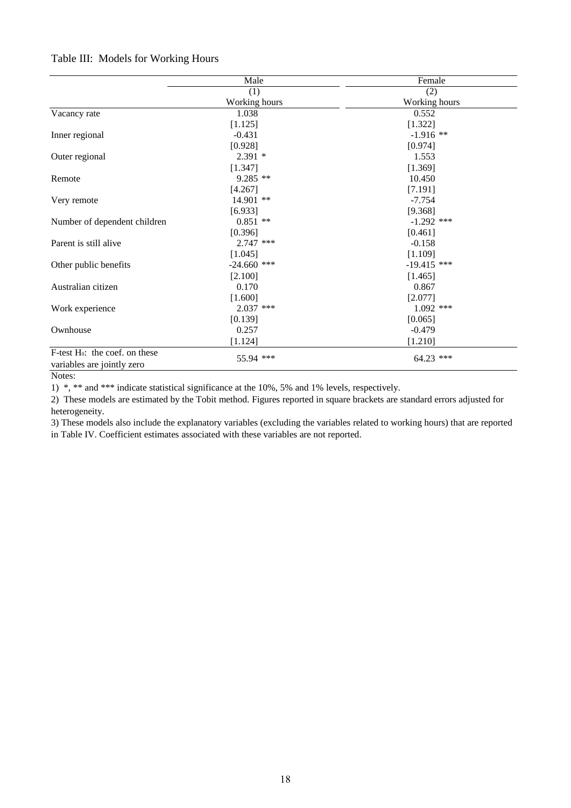## Table III: Models for Working Hours

|                                            | Male          | Female        |
|--------------------------------------------|---------------|---------------|
|                                            | (1)           | (2)           |
|                                            | Working hours | Working hours |
| Vacancy rate                               | 1.038         | 0.552         |
|                                            | [1.125]       | [1.322]       |
| Inner regional                             | $-0.431$      | $-1.916$ **   |
|                                            | [0.928]       | [0.974]       |
| Outer regional                             | $2.391*$      | 1.553         |
|                                            | [1.347]       | [1.369]       |
| Remote                                     | $9.285$ **    | 10.450        |
|                                            | [4.267]       | [7.191]       |
| Very remote                                | 14.901 **     | $-7.754$      |
|                                            | [6.933]       | [9.368]       |
| Number of dependent children               | $0.851$ **    | $-1.292$ ***  |
|                                            | [0.396]       | [0.461]       |
| Parent is still alive                      | $2.747$ ***   | $-0.158$      |
|                                            | [1.045]       | [1.109]       |
| Other public benefits                      | $-24.660$ *** | $-19.415$ *** |
|                                            | [2.100]       | [1.465]       |
| Australian citizen                         | 0.170         | 0.867         |
|                                            | [1.600]       | [2.077]       |
| Work experience                            | $2.037$ ***   | $1.092$ ***   |
|                                            | [0.139]       | [0.065]       |
| Ownhouse                                   | 0.257         | $-0.479$      |
|                                            | [1.124]       | [1.210]       |
| F-test H <sub>0</sub> : the coef. on these |               |               |
| variables are jointly zero                 | 55.94 ***     | 64.23 ***     |

Notes:

1) \*, \*\* and \*\*\* indicate statistical significance at the 10%, 5% and 1% levels, respectively.

2) These models are estimated by the Tobit method. Figures reported in square brackets are standard errors adjusted for heterogeneity.

3) These models also include the explanatory variables (excluding the variables related to working hours) that are reported in Table IV. Coefficient estimates associated with these variables are not reported.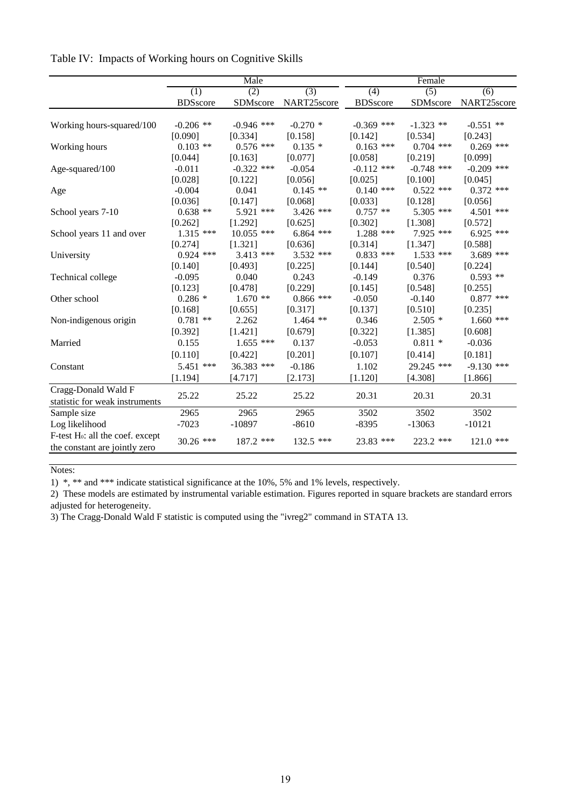|                                              | Male             |              |                  | Female          |              |              |  |
|----------------------------------------------|------------------|--------------|------------------|-----------------|--------------|--------------|--|
|                                              | $\overline{(1)}$ | (2)          | $\overline{(3)}$ | (4)             | (5)          | (6)          |  |
|                                              | <b>BDSscore</b>  | SDMscore     | NART25score      | <b>BDSscore</b> | SDMscore     | NART25score  |  |
|                                              |                  |              |                  |                 |              |              |  |
| Working hours-squared/100                    | $-0.206$ **      | $-0.946$ *** | $-0.270*$        | $-0.369$ ***    | $-1.323$ **  | $-0.551$ **  |  |
|                                              | [0.090]          | [0.334]      | [0.158]          | [0.142]         | [0.534]      | [0.243]      |  |
| Working hours                                | $0.103$ **       | $0.576$ ***  | $0.135*$         | $0.163$ ***     | $0.704$ ***  | $0.269$ ***  |  |
|                                              | [0.044]          | [0.163]      | [0.077]          | [0.058]         | [0.219]      | [0.099]      |  |
| Age-squared/100                              | $-0.011$         | $-0.322$ *** | $-0.054$         | $-0.112$ ***    | $-0.748$ *** | $-0.209$ *** |  |
|                                              | [0.028]          | [0.122]      | [0.056]          | [0.025]         | [0.100]      | [0.045]      |  |
| Age                                          | $-0.004$         | 0.041        | $0.145$ **       | $0.140$ ***     | $0.522$ ***  | $0.372$ ***  |  |
|                                              | [0.036]          | [0.147]      | [0.068]          | [0.033]         | [0.128]      | [0.056]      |  |
| School years 7-10                            | $0.638$ **       | $5.921$ ***  | $3.426$ ***      | $0.757$ **      | $5.305$ ***  | 4.501 ***    |  |
|                                              | [0.262]          | [1.292]      | [0.625]          | [0.302]         | [1.308]      | [0.572]      |  |
| School years 11 and over                     | $1.315$ ***      | $10.055$ *** | $6.864$ ***      | $1.288$ ***     | 7.925 ***    | $6.925$ ***  |  |
|                                              | [0.274]          | [1.321]      | [0.636]          | [0.314]         | [1.347]      | [0.588]      |  |
| University                                   | $0.924$ ***      | $3.413$ ***  | $3.532$ ***      | $0.833$ ***     | $1.533$ ***  | $3.689$ ***  |  |
|                                              | [0.140]          | [0.493]      | [0.225]          | [0.144]         | [0.540]      | [0.224]      |  |
| Technical college                            | $-0.095$         | 0.040        | 0.243            | $-0.149$        | 0.376        | $0.593$ **   |  |
|                                              | [0.123]          | [0.478]      | [0.229]          | [0.145]         | [0.548]      | [0.255]      |  |
| Other school                                 | $0.286*$         | $1.670**$    | $0.866$ ***      | $-0.050$        | $-0.140$     | $0.877$ ***  |  |
|                                              | [0.168]          | [0.655]      | [0.317]          | [0.137]         | [0.510]      | [0.235]      |  |
| Non-indigenous origin                        | $0.781**$        | 2.262        | $1.464$ **       | 0.346           | $2.505*$     | $1.660$ ***  |  |
|                                              | [0.392]          | [1.421]      | [0.679]          | [0.322]         | [1.385]      | [0.608]      |  |
| Married                                      | 0.155            | $1.655$ ***  | 0.137            | $-0.053$        | $0.811*$     | $-0.036$     |  |
|                                              |                  |              |                  |                 |              |              |  |
|                                              | [0.110]          | [0.422]      | [0.201]          | [0.107]         | [0.414]      | [0.181]      |  |
| Constant                                     | 5.451 ***        | 36.383 ***   | $-0.186$         | 1.102           | 29.245 ***   | $-9.130$ *** |  |
|                                              | [1.194]          | [4.717]      | [2.173]          | [1.120]         | [4.308]      | [1.866]      |  |
| Cragg-Donald Wald F                          | 25.22            | 25.22        | 25.22            | 20.31           | 20.31        | 20.31        |  |
| statistic for weak instruments               |                  |              |                  |                 |              |              |  |
| Sample size                                  | 2965             | 2965         | 2965             | 3502            | 3502         | 3502         |  |
| Log likelihood                               | $-7023$          | $-10897$     | $-8610$          | $-8395$         | $-13063$     | $-10121$     |  |
| F-test H <sub>0</sub> : all the coef. except | $30.26$ ***      | 187.2 ***    | 132.5 ***        | 23.83 ***       | 223.2 ***    | $121.0$ ***  |  |
| the constant are jointly zero                |                  |              |                  |                 |              |              |  |

#### Table IV: Impacts of Working hours on Cognitive Skills

Notes:

1) \*, \*\* and \*\*\* indicate statistical significance at the 10%, 5% and 1% levels, respectively.

2) These models are estimated by instrumental variable estimation. Figures reported in square brackets are standard errors adjusted for heterogeneity.

3) The Cragg-Donald Wald F statistic is computed using the "ivreg2" command in STATA 13.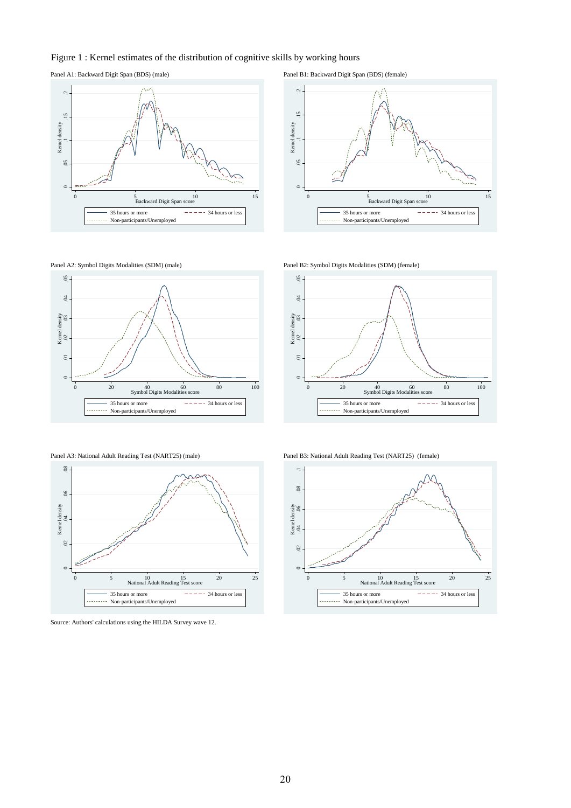#### Figure 1 : Kernel estimates of the distribution of cognitive skills by working hours

Panel A1: Backward Digit Span (BDS) (male) Panel B1: Backward Digit Span (BDS) (female)















Panel A3: National Adult Reading Test (NART25) (male) Panel B3: National Adult Reading Test (NART25) (female)



Source: Authors' calculations using the HILDA Survey wave 12.

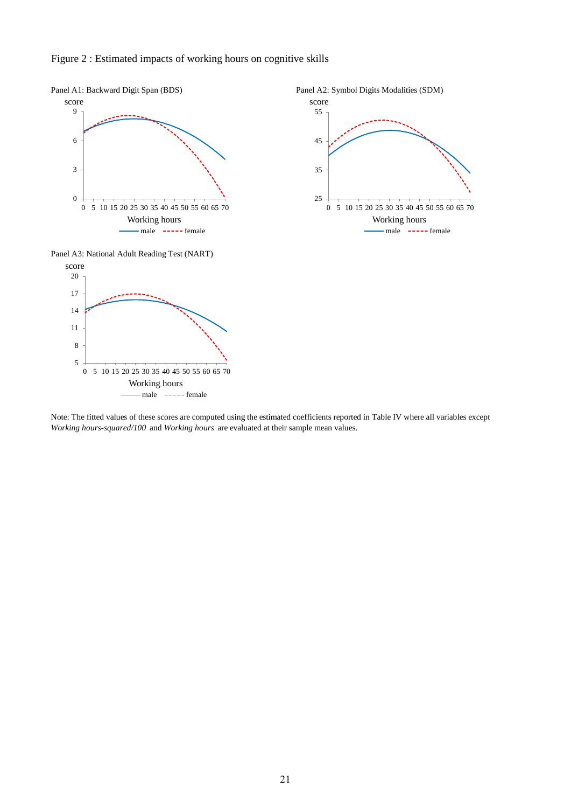

#### Figure 2 : Estimated impacts of working hours on cognitive skills

 $-male$   $---$  female

Note: The fitted values of these scores are computed using the estimated coefficients reported in Table IV where all variables except *Working hours-squared/100* and *Working hours* are evaluated at their sample mean values.